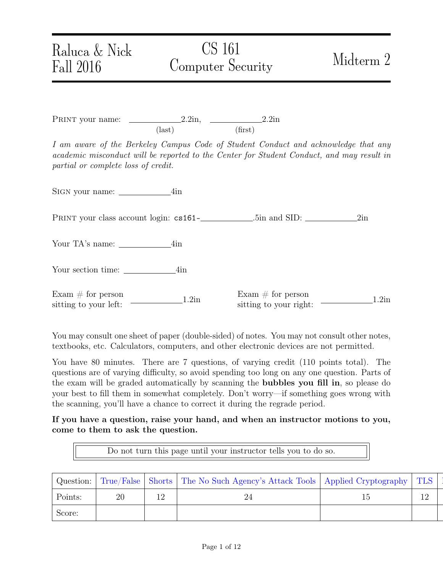## Raluca & Nick Fall 2016

# CS 161 Computer Security Midterm 2

PRINT your name:  $2.2in$ ,  $2.2in$ ,  $2.2in$ (last) (first)

I am aware of the Berkeley Campus Code of Student Conduct and acknowledge that any academic misconduct will be reported to the Center for Student Conduct, and may result in partial or complete loss of credit.

Sign your name: 4in

Print your class account login: cs161- .5in and SID: 2in

Your TA's name: 4in

Your section time: 4in

 $\text{Exam} \# \text{ for person}$ <br>  $\text{sitting to your left:} \qquad \qquad \text{1.2in} \qquad \qquad \text{Exam} \# \text{ for person}$ 

Exam  $\#$  for person<br>sitting to your right:  $\frac{1.2 \text{ln}}{2}$ 

You may consult one sheet of paper (double-sided) of notes. You may not consult other notes, textbooks, etc. Calculators, computers, and other electronic devices are not permitted.

You have 80 minutes. There are 7 questions, of varying credit (110 points total). The questions are of varying difficulty, so avoid spending too long on any one question. Parts of the exam will be graded automatically by scanning the bubbles you fill in, so please do your best to fill them in somewhat completely. Don't worry—if something goes wrong with the scanning, you'll have a chance to correct it during the regrade period.

If you have a question, raise your hand, and when an instructor motions to you, come to them to ask the question.

Do not turn this page until your instructor tells you to do so.

| Question: | True/False | Shorts    | The No Such Agency's Attack Tools   Applied Cryptography |    | TLS                   |
|-----------|------------|-----------|----------------------------------------------------------|----|-----------------------|
| Points:   | ററ         | 1 O<br>∸∸ | $\angle 4$                                               | ⊥∪ | $\overline{10}$<br>14 |
| Score:    |            |           |                                                          |    |                       |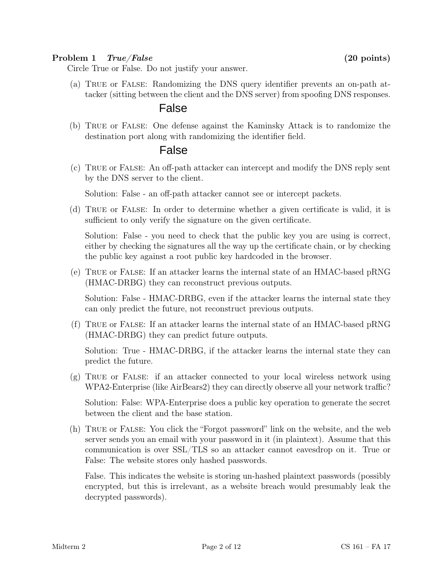#### <span id="page-1-0"></span>Problem 1 True/False (20 points)

Circle True or False. Do not justify your answer.

(a) True or False: Randomizing the DNS query identifier prevents an on-path attacker (sitting between the client and the DNS server) from spoofing DNS responses.

### False

(b) True or False: One defense against the Kaminsky Attack is to randomize the destination port along with randomizing the identifier field.

### False

(c) True or False: An off-path attacker can intercept and modify the DNS reply sent by the DNS server to the client.

Solution: False - an off-path attacker cannot see or intercept packets.

(d) True or False: In order to determine whether a given certificate is valid, it is sufficient to only verify the signature on the given certificate.

Solution: False - you need to check that the public key you are using is correct, either by checking the signatures all the way up the certificate chain, or by checking the public key against a root public key hardcoded in the browser.

(e) True or False: If an attacker learns the internal state of an HMAC-based pRNG (HMAC-DRBG) they can reconstruct previous outputs.

Solution: False - HMAC-DRBG, even if the attacker learns the internal state they can only predict the future, not reconstruct previous outputs.

(f) True or False: If an attacker learns the internal state of an HMAC-based pRNG (HMAC-DRBG) they can predict future outputs.

Solution: True - HMAC-DRBG, if the attacker learns the internal state they can predict the future.

(g) True or False: if an attacker connected to your local wireless network using WPA2-Enterprise (like AirBears2) they can directly observe all your network traffic?

Solution: False: WPA-Enterprise does a public key operation to generate the secret between the client and the base station.

(h) True or False: You click the "Forgot password" link on the website, and the web server sends you an email with your password in it (in plaintext). Assume that this communication is over SSL/TLS so an attacker cannot eavesdrop on it. True or False: The website stores only hashed passwords.

False. This indicates the website is storing un-hashed plaintext passwords (possibly encrypted, but this is irrelevant, as a website breach would presumably leak the decrypted passwords).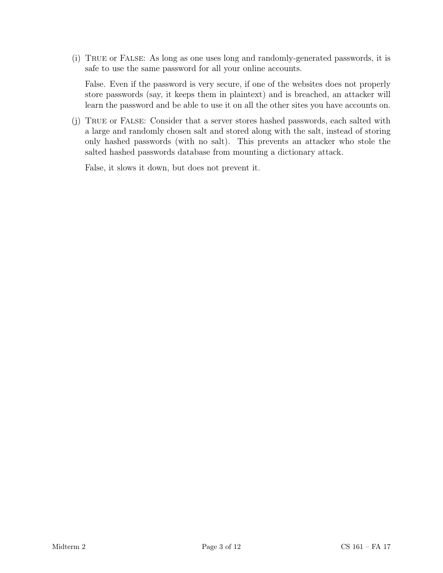(i) True or False: As long as one uses long and randomly-generated passwords, it is safe to use the same password for all your online accounts.

False. Even if the password is very secure, if one of the websites does not properly store passwords (say, it keeps them in plaintext) and is breached, an attacker will learn the password and be able to use it on all the other sites you have accounts on.

(j) True or False: Consider that a server stores hashed passwords, each salted with a large and randomly chosen salt and stored along with the salt, instead of storing only hashed passwords (with no salt). This prevents an attacker who stole the salted hashed passwords database from mounting a dictionary attack.

False, it slows it down, but does not prevent it.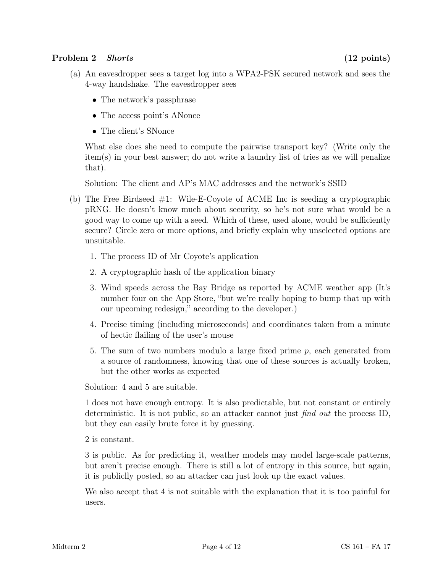#### <span id="page-3-0"></span>Problem 2 Shorts (12 points)

- (a) An eavesdropper sees a target log into a WPA2-PSK secured network and sees the 4-way handshake. The eavesdropper sees
	- The network's passphrase
	- The access point's ANonce
	- The client's SNonce

What else does she need to compute the pairwise transport key? (Write only the item(s) in your best answer; do not write a laundry list of tries as we will penalize that).

Solution: The client and AP's MAC addresses and the network's SSID

- (b) The Free Birdseed  $#1$ : Wile-E-Coyote of ACME Inc is seeding a cryptographic pRNG. He doesn't know much about security, so he's not sure what would be a good way to come up with a seed. Which of these, used alone, would be sufficiently secure? Circle zero or more options, and briefly explain why unselected options are unsuitable.
	- 1. The process ID of Mr Coyote's application
	- 2. A cryptographic hash of the application binary
	- 3. Wind speeds across the Bay Bridge as reported by ACME weather app (It's number four on the App Store, "but we're really hoping to bump that up with our upcoming redesign," according to the developer.)
	- 4. Precise timing (including microseconds) and coordinates taken from a minute of hectic flailing of the user's mouse
	- 5. The sum of two numbers modulo a large fixed prime p, each generated from a source of randomness, knowing that one of these sources is actually broken, but the other works as expected

Solution: 4 and 5 are suitable.

1 does not have enough entropy. It is also predictable, but not constant or entirely deterministic. It is not public, so an attacker cannot just find out the process ID, but they can easily brute force it by guessing.

2 is constant.

3 is public. As for predicting it, weather models may model large-scale patterns, but aren't precise enough. There is still a lot of entropy in this source, but again, it is publiclly posted, so an attacker can just look up the exact values.

We also accept that 4 is not suitable with the explanation that it is too painful for users.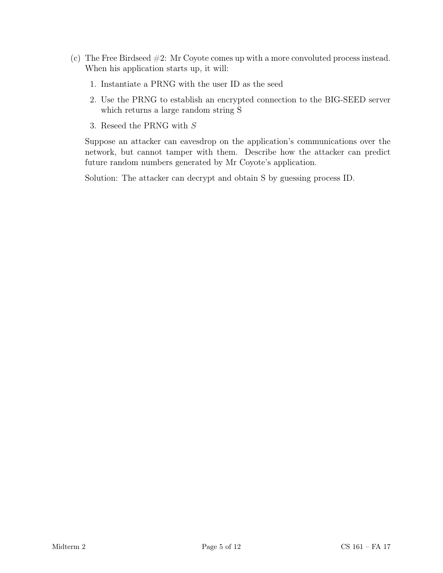- (c) The Free Birdseed #2: Mr Coyote comes up with a more convoluted process instead. When his application starts up, it will:
	- 1. Instantiate a PRNG with the user ID as the seed
	- 2. Use the PRNG to establish an encrypted connection to the BIG-SEED server which returns a large random string S
	- 3. Reseed the PRNG with S

Suppose an attacker can eavesdrop on the application's communications over the network, but cannot tamper with them. Describe how the attacker can predict future random numbers generated by Mr Coyote's application.

Solution: The attacker can decrypt and obtain S by guessing process ID.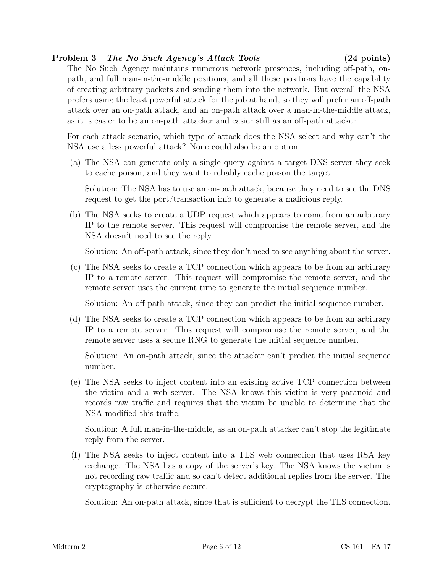#### <span id="page-5-0"></span>Problem 3 The No Such Agency's Attack Tools (24 points)

The No Such Agency maintains numerous network presences, including off-path, onpath, and full man-in-the-middle positions, and all these positions have the capability of creating arbitrary packets and sending them into the network. But overall the NSA prefers using the least powerful attack for the job at hand, so they will prefer an off-path attack over an on-path attack, and an on-path attack over a man-in-the-middle attack, as it is easier to be an on-path attacker and easier still as an off-path attacker.

For each attack scenario, which type of attack does the NSA select and why can't the NSA use a less powerful attack? None could also be an option.

(a) The NSA can generate only a single query against a target DNS server they seek to cache poison, and they want to reliably cache poison the target.

Solution: The NSA has to use an on-path attack, because they need to see the DNS request to get the port/transaction info to generate a malicious reply.

(b) The NSA seeks to create a UDP request which appears to come from an arbitrary IP to the remote server. This request will compromise the remote server, and the NSA doesn't need to see the reply.

Solution: An off-path attack, since they don't need to see anything about the server.

(c) The NSA seeks to create a TCP connection which appears to be from an arbitrary IP to a remote server. This request will compromise the remote server, and the remote server uses the current time to generate the initial sequence number.

Solution: An off-path attack, since they can predict the initial sequence number.

(d) The NSA seeks to create a TCP connection which appears to be from an arbitrary IP to a remote server. This request will compromise the remote server, and the remote server uses a secure RNG to generate the initial sequence number.

Solution: An on-path attack, since the attacker can't predict the initial sequence number.

(e) The NSA seeks to inject content into an existing active TCP connection between the victim and a web server. The NSA knows this victim is very paranoid and records raw traffic and requires that the victim be unable to determine that the NSA modified this traffic.

Solution: A full man-in-the-middle, as an on-path attacker can't stop the legitimate reply from the server.

(f) The NSA seeks to inject content into a TLS web connection that uses RSA key exchange. The NSA has a copy of the server's key. The NSA knows the victim is not recording raw traffic and so can't detect additional replies from the server. The cryptography is otherwise secure.

Solution: An on-path attack, since that is sufficient to decrypt the TLS connection.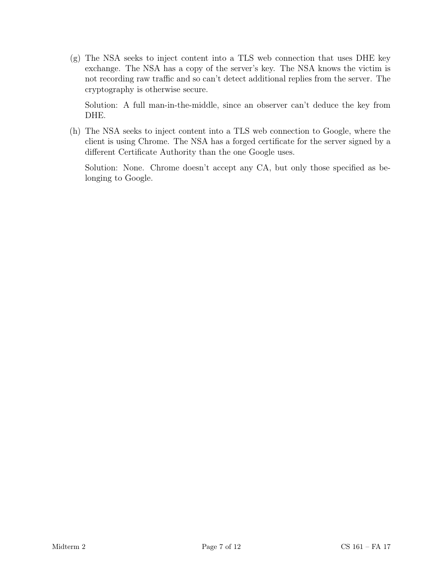(g) The NSA seeks to inject content into a TLS web connection that uses DHE key exchange. The NSA has a copy of the server's key. The NSA knows the victim is not recording raw traffic and so can't detect additional replies from the server. The cryptography is otherwise secure.

Solution: A full man-in-the-middle, since an observer can't deduce the key from DHE.

(h) The NSA seeks to inject content into a TLS web connection to Google, where the client is using Chrome. The NSA has a forged certificate for the server signed by a different Certificate Authority than the one Google uses.

Solution: None. Chrome doesn't accept any CA, but only those specified as belonging to Google.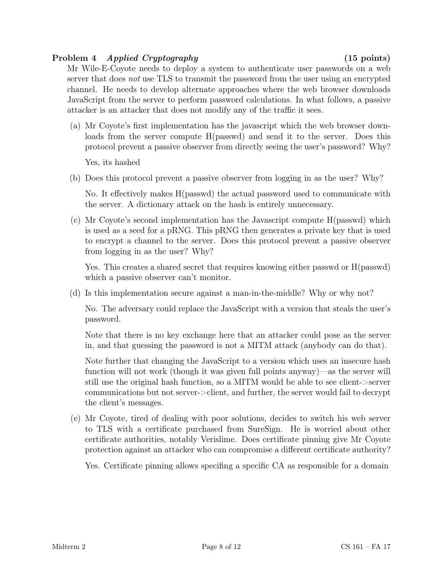#### <span id="page-7-0"></span>Problem 4 Applied Cryptography (15 points)

Mr Wile-E-Coyote needs to deploy a system to authenticate user passwords on a web server that does *not* use TLS to transmit the password from the user using an encrypted channel. He needs to develop alternate approaches where the web browser downloads JavaScript from the server to perform password calculations. In what follows, a passive attacker is an attacker that does not modify any of the traffic it sees.

(a) Mr Coyote's first implementation has the javascript which the web browser downloads from the server compute H(passwd) and send it to the server. Does this protocol prevent a passive observer from directly seeing the user's password? Why?

Yes, its hashed

(b) Does this protocol prevent a passive observer from logging in as the user? Why?

No. It effectively makes H(passwd) the actual password used to communicate with the server. A dictionary attack on the hash is entirely unnecessary.

(c) Mr Coyote's second implementation has the Javascript compute H(passwd) which is used as a seed for a pRNG. This pRNG then generates a private key that is used to encrypt a channel to the server. Does this protocol prevent a passive observer from logging in as the user? Why?

Yes. This creates a shared secret that requires knowing either passwd or H(passwd) which a passive observer can't monitor.

(d) Is this implementation secure against a man-in-the-middle? Why or why not?

No. The adversary could replace the JavaScript with a version that steals the user's password.

Note that there is no key exchange here that an attacker could pose as the server in, and that guessing the password is not a MITM attack (anybody can do that).

Note further that changing the JavaScript to a version which uses an insecure hash function will not work (though it was given full points anyway)—as the server will still use the original hash function, so a MITM would be able to see client->server communications but not server->client, and further, the server would fail to decrypt the client's messages.

(e) Mr Coyote, tired of dealing with poor solutions, decides to switch his web server to TLS with a certificate purchased from SureSign. He is worried about other certificate authorities, notably Verislime. Does certificate pinning give Mr Coyote protection against an attacker who can compromise a different certificate authority?

Yes. Certificate pinning allows specifing a specific CA as responsible for a domain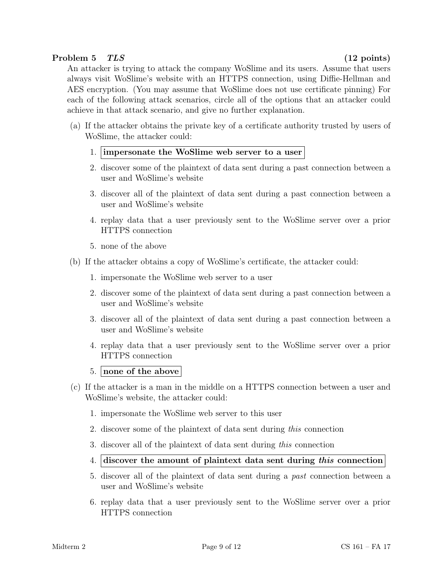#### <span id="page-8-0"></span>Problem 5 TLS (12 points)

An attacker is trying to attack the company WoSlime and its users. Assume that users always visit WoSlime's website with an HTTPS connection, using Diffie-Hellman and AES encryption. (You may assume that WoSlime does not use certificate pinning) For each of the following attack scenarios, circle all of the options that an attacker could achieve in that attack scenario, and give no further explanation.

- (a) If the attacker obtains the private key of a certificate authority trusted by users of WoSlime, the attacker could:
	- 1. impersonate the WoSlime web server to a user
	- 2. discover some of the plaintext of data sent during a past connection between a user and WoSlime's website
	- 3. discover all of the plaintext of data sent during a past connection between a user and WoSlime's website
	- 4. replay data that a user previously sent to the WoSlime server over a prior HTTPS connection
	- 5. none of the above
- (b) If the attacker obtains a copy of WoSlime's certificate, the attacker could:
	- 1. impersonate the WoSlime web server to a user
	- 2. discover some of the plaintext of data sent during a past connection between a user and WoSlime's website
	- 3. discover all of the plaintext of data sent during a past connection between a user and WoSlime's website
	- 4. replay data that a user previously sent to the WoSlime server over a prior HTTPS connection
	- 5. none of the above
- (c) If the attacker is a man in the middle on a HTTPS connection between a user and WoSlime's website, the attacker could:
	- 1. impersonate the WoSlime web server to this user
	- 2. discover some of the plaintext of data sent during this connection
	- 3. discover all of the plaintext of data sent during this connection
	- 4. discover the amount of plaintext data sent during this connection
	- 5. discover all of the plaintext of data sent during a past connection between a user and WoSlime's website
	- 6. replay data that a user previously sent to the WoSlime server over a prior HTTPS connection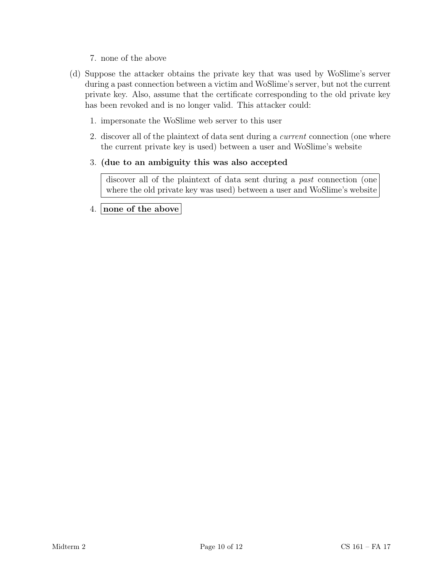- 7. none of the above
- (d) Suppose the attacker obtains the private key that was used by WoSlime's server during a past connection between a victim and WoSlime's server, but not the current private key. Also, assume that the certificate corresponding to the old private key has been revoked and is no longer valid. This attacker could:
	- 1. impersonate the WoSlime web server to this user
	- 2. discover all of the plaintext of data sent during a current connection (one where the current private key is used) between a user and WoSlime's website

#### 3. (due to an ambiguity this was also accepted

discover all of the plaintext of data sent during a *past* connection (one where the old private key was used) between a user and WoSlime's website

#### 4. none of the above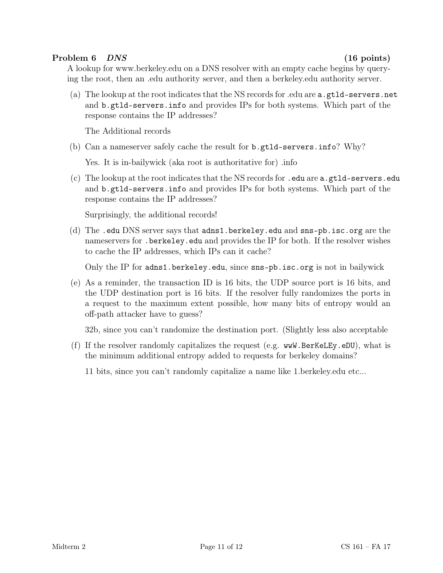#### <span id="page-10-0"></span>Problem 6 DNS (16 points)

A lookup for www.berkeley.edu on a DNS resolver with an empty cache begins by querying the root, then an .edu authority server, and then a berkeley.edu authority server.

(a) The lookup at the root indicates that the NS records for .edu are a.gtld-servers.net and b.gtld-servers.info and provides IPs for both systems. Which part of the response contains the IP addresses?

The Additional records

(b) Can a nameserver safely cache the result for b.gtld-servers.info? Why?

Yes. It is in-bailywick (aka root is authoritative for) .info

(c) The lookup at the root indicates that the NS records for .edu are a.gtld-servers.edu and b.gtld-servers.info and provides IPs for both systems. Which part of the response contains the IP addresses?

Surprisingly, the additional records!

(d) The .edu DNS server says that adns1.berkeley.edu and sns-pb.isc.org are the nameservers for .berkeley.edu and provides the IP for both. If the resolver wishes to cache the IP addresses, which IPs can it cache?

Only the IP for adns1.berkeley.edu, since sns-pb.isc.org is not in bailywick

(e) As a reminder, the transaction ID is 16 bits, the UDP source port is 16 bits, and the UDP destination port is 16 bits. If the resolver fully randomizes the ports in a request to the maximum extent possible, how many bits of entropy would an off-path attacker have to guess?

32b, since you can't randomize the destination port. (Slightly less also acceptable

(f) If the resolver randomly capitalizes the request (e.g. wwW.BerKeLEy.eDU), what is the minimum additional entropy added to requests for berkeley domains?

11 bits, since you can't randomly capitalize a name like 1.berkeley.edu etc...